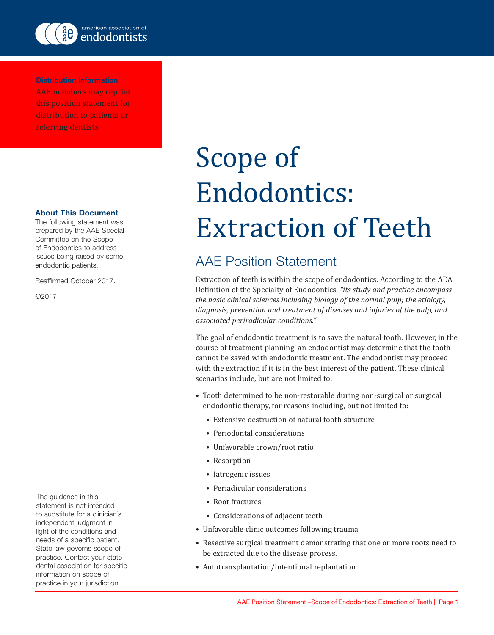

Distribution Information AAE members may reprint this position statement for distribution to patients or referring dentists.

## About This Document

The following statement was prepared by the AAE Special Committee on the Scope of Endodontics to address issues being raised by some endodontic patients.

Reaffirmed October 2017.

©2017

The guidance in this statement is not intended to substitute for a clinician's independent judgment in light of the conditions and needs of a specific patient. State law governs scope of practice. Contact your state dental association for specific information on scope of practice in your jurisdiction.

## Scope of Endodontics: Extraction of Teeth

## AAE Position Statement

Extraction of teeth is within the scope of endodontics. According to the ADA Definition of the Specialty of Endodontics, *"its study and practice encompass the basic clinical sciences including biology of the normal pulp; the etiology, diagnosis, prevention and treatment of diseases and injuries of the pulp, and associated periradicular conditions."*

The goal of endodontic treatment is to save the natural tooth. However, in the course of treatment planning, an endodontist may determine that the tooth cannot be saved with endodontic treatment. The endodontist may proceed with the extraction if it is in the best interest of the patient. These clinical scenarios include, but are not limited to:

- Tooth determined to be non-restorable during non-surgical or surgical endodontic therapy, for reasons including, but not limited to:
	- Extensive destruction of natural tooth structure
	- Periodontal considerations
	- Unfavorable crown/root ratio
	- Resorption
	- Iatrogenic issues
	- Periadicular considerations
	- Root fractures
	- Considerations of adjacent teeth
- Unfavorable clinic outcomes following trauma
- Resective surgical treatment demonstrating that one or more roots need to be extracted due to the disease process.
- Autotransplantation/intentional replantation